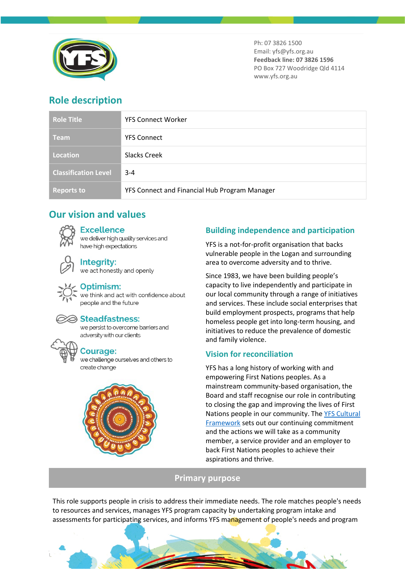

Ph: 07 3826 1500 Email: yfs@yfs.org.au **Feedback line: 07 3826 1596** PO Box 727 Woodridge Qld 4114 www.yfs.org.au

# **Role description**

| <b>Role Title</b>           | <b>YFS Connect Worker</b>                     |
|-----------------------------|-----------------------------------------------|
| <b>Team</b>                 | <b>YFS Connect</b>                            |
| Location                    | Slacks Creek                                  |
| <b>Classification Level</b> | $3 - 4$                                       |
| <b>Reports to</b>           | YFS Connect and Financial Hub Program Manager |

# **Our vision and values**

## **Excellence**

we deliver high quality services and have high expectations

# **Integrity:**

we act honestly and openly

## Optimism:

we think and act with confidence about people and the future



#### **⊘ Steadfastness:**

we persist to overcome barriers and adversity with our clients

# **Courage:**

we challenge ourselves and others to create change



# **Building independence and participation**

YFS is a not-for-profit organisation that backs vulnerable people in the Logan and surrounding area to overcome adversity and to thrive.

Since 1983, we have been building people's capacity to live independently and participate in our local community through a range of initiatives and services. These include social enterprises that build employment prospects, programs that help homeless people get into long-term housing, and initiatives to reduce the prevalence of domestic and family violence.

# **Vision for reconciliation**

YFS has a long history of working with and empowering First Nations peoples. As a mainstream community-based organisation, the Board and staff recognise our role in contributing to closing the gap and improving the lives of First Nations people in our community. Th[e YFS Cultural](https://www.yfs.org.au/wp-content/uploads/2021/01/PP_YFS_FirstNationsCulturalFramework_BROCHURE_v0_SinglePages.pdf)  [Framework](https://www.yfs.org.au/wp-content/uploads/2021/01/PP_YFS_FirstNationsCulturalFramework_BROCHURE_v0_SinglePages.pdf) sets out our continuing commitment and the actions we will take as a community member, a service provider and an employer to back First Nations peoples to achieve their aspirations and thrive.

# **Primary purpose**

This role supports people in crisis to address their immediate needs. The role matches people's needs to resources and services, manages YFS program capacity by undertaking program intake and assessments for participating services, and informs YFS management of people's needs and program

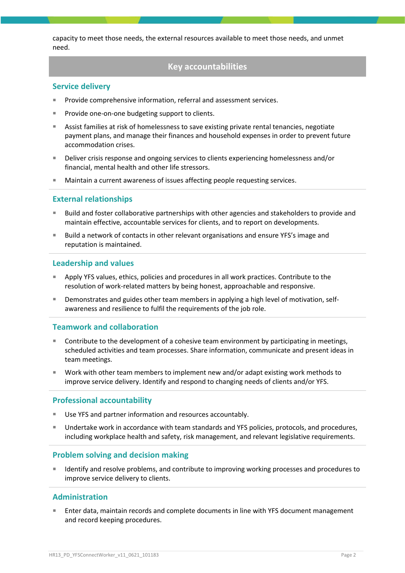capacity to meet those needs, the external resources available to meet those needs, and unmet need.

# **Key accountabilities**

### **Service delivery**

- Provide comprehensive information, referral and assessment services.
- Provide one-on-one budgeting support to clients.
- Assist families at risk of homelessness to save existing private rental tenancies, negotiate payment plans, and manage their finances and household expenses in order to prevent future accommodation crises.
- **Deliver crisis response and ongoing services to clients experiencing homelessness and/or** financial, mental health and other life stressors.
- Maintain a current awareness of issues affecting people requesting services.

### **External relationships**

- Build and foster collaborative partnerships with other agencies and stakeholders to provide and maintain effective, accountable services for clients, and to report on developments.
- Build a network of contacts in other relevant organisations and ensure YFS's image and reputation is maintained.

#### **Leadership and values**

- Apply YFS values, ethics, policies and procedures in all work practices. Contribute to the resolution of work-related matters by being honest, approachable and responsive.
- Demonstrates and guides other team members in applying a high level of motivation, selfawareness and resilience to fulfil the requirements of the job role.

## **Teamwork and collaboration**

- **Contribute to the development of a cohesive team environment by participating in meetings,** scheduled activities and team processes. Share information, communicate and present ideas in team meetings.
- Work with other team members to implement new and/or adapt existing work methods to improve service delivery. Identify and respond to changing needs of clients and/or YFS.

## **Professional accountability**

- Use YFS and partner information and resources accountably.
- **Undertake work in accordance with team standards and YFS policies, protocols, and procedures,** including workplace health and safety, risk management, and relevant legislative requirements.

## **Problem solving and decision making**

 Identify and resolve problems, and contribute to improving working processes and procedures to improve service delivery to clients.

## **Administration**

 Enter data, maintain records and complete documents in line with YFS document management and record keeping procedures.